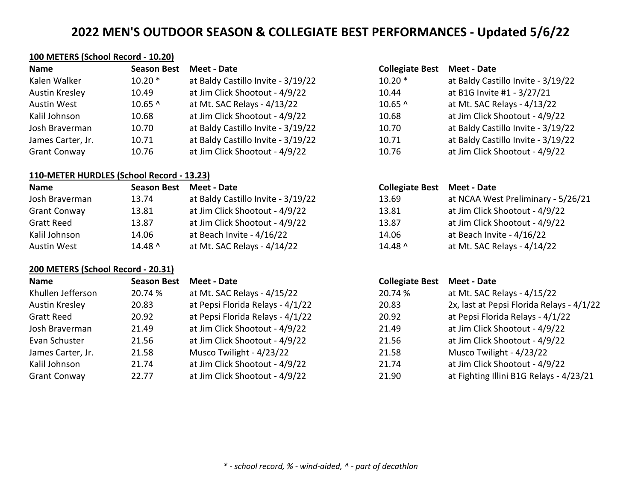## **100 METERS (School Record - 10.20)**

| <b>Name</b>         | <b>Season Best</b> | Meet - Date                        | <b>Collegiate Best</b> | <b>Meet - Date</b>                 |
|---------------------|--------------------|------------------------------------|------------------------|------------------------------------|
| Kalen Walker        | $10.20*$           | at Baldy Castillo Invite - 3/19/22 | $10.20*$               | at Baldy Castillo Invite - 3/19/22 |
| Austin Kresley      | 10.49              | at Jim Click Shootout - 4/9/22     | 10.44                  | at B1G Invite #1 - 3/27/21         |
| Austin West         | $10.65$ ^          | at Mt. SAC Relays - 4/13/22        | $10.65$ ^              | at Mt. SAC Relays - 4/13/22        |
| Kalil Johnson       | 10.68              | at Jim Click Shootout - 4/9/22     | 10.68                  | at Jim Click Shootout - 4/9/22     |
| Josh Braverman      | 10.70              | at Baldy Castillo Invite - 3/19/22 | 10.70                  | at Baldy Castillo Invite - 3/19/22 |
| James Carter, Jr.   | 10.71              | at Baldy Castillo Invite - 3/19/22 | 10.71                  | at Baldy Castillo Invite - 3/19/22 |
| <b>Grant Conway</b> | 10.76              | at Jim Click Shootout - 4/9/22     | 10.76                  | at Jim Click Shootout - 4/9/22     |

### **110-METER HURDLES (School Record - 13.23)**

| <b>Name</b>         | <b>Season Best</b> | Meet - Date                        | <b>Collegiate Best</b> | Meet - Date                        |
|---------------------|--------------------|------------------------------------|------------------------|------------------------------------|
| Josh Braverman      | 13.74              | at Baldy Castillo Invite - 3/19/22 | 13.69                  | at NCAA West Preliminary - 5/26/21 |
| <b>Grant Conway</b> | 13.81              | at Jim Click Shootout - 4/9/22     | 13.81                  | at Jim Click Shootout - 4/9/22     |
| <b>Gratt Reed</b>   | 13.87              | at Jim Click Shootout - 4/9/22     | 13.87                  | at Jim Click Shootout - 4/9/22     |
| Kalil Johnson       | 14.06              | at Beach Invite - 4/16/22          | 14.06                  | at Beach Invite - 4/16/22          |
| Austin West         | $14.48$ ^          | at Mt. SAC Relays - 4/14/22        | $14.48$ ^              | at Mt. SAC Relays - 4/14/22        |

## **200 METERS (School Record - 20.31)**

| <b>Name</b>         | <b>Season Best</b> | Meet - Date                      | <b>Collegiate Best</b> | Meet - Date                               |
|---------------------|--------------------|----------------------------------|------------------------|-------------------------------------------|
| Khullen Jefferson   | 20.74 %            | at Mt. SAC Relays - 4/15/22      | 20.74 %                | at Mt. SAC Relays - 4/15/22               |
| Austin Kresley      | 20.83              | at Pepsi Florida Relays - 4/1/22 | 20.83                  | 2x, last at Pepsi Florida Relays - 4/1/22 |
| <b>Gratt Reed</b>   | 20.92              | at Pepsi Florida Relays - 4/1/22 | 20.92                  | at Pepsi Florida Relays - 4/1/22          |
| Josh Braverman      | 21.49              | at Jim Click Shootout - 4/9/22   | 21.49                  | at Jim Click Shootout - 4/9/22            |
| Evan Schuster       | 21.56              | at Jim Click Shootout - 4/9/22   | 21.56                  | at Jim Click Shootout - 4/9/22            |
| James Carter, Jr.   | 21.58              | Musco Twilight - 4/23/22         | 21.58                  | Musco Twilight - 4/23/22                  |
| Kalil Johnson       | 21.74              | at Jim Click Shootout - 4/9/22   | 21.74                  | at Jim Click Shootout - 4/9/22            |
| <b>Grant Conway</b> | 22.77              | at Jim Click Shootout - 4/9/22   | 21.90                  | at Fighting Illini B1G Relays - 4/23/21   |

|                | <b>Collegiate Best Meet - Date</b> |                                    |
|----------------|------------------------------------|------------------------------------|
| 19/22          | $10.20*$                           | at Baldy Castillo Invite - 3/19/22 |
| /22            | 10.44                              | at B1G Invite #1 - 3/27/21         |
| $\overline{2}$ | 10.65 ^                            | at Mt. SAC Relays - 4/13/22        |
| /22            | 10.68                              | at Jim Click Shootout - 4/9/22     |
| 19/22          | 10.70                              | at Baldy Castillo Invite - 3/19/22 |
| 19/22          | 10.71                              | at Baldy Castillo Invite - 3/19/22 |
| /22            | 10.76                              | at Jim Click Shootout - 4/9/22     |

| <b>Collegiate Best Meet - Date</b> |                                    |
|------------------------------------|------------------------------------|
| 13.69                              | at NCAA West Preliminary - 5/26/21 |
| 13.81                              | at Jim Click Shootout - 4/9/22     |
| 13.87                              | at Jim Click Shootout - 4/9/22     |
| 14.06                              | at Beach Invite - 4/16/22          |
| $14.48$ ^                          | at Mt. SAC Relays - 4/14/22        |

| .83 | ZX, last at Pepsi Florida Relays - 4/1/22 |
|-----|-------------------------------------------|
| .92 | at Pepsi Florida Relays - 4/1/22          |
| .49 | at Jim Click Shootout - 4/9/22            |
| .56 | at Jim Click Shootout - 4/9/22            |
| .58 | Musco Twilight - 4/23/22                  |
| .74 | at Jim Click Shootout - 4/9/22            |
| ിറ  | at Fighting Illini B1G Relays - 4/23/21   |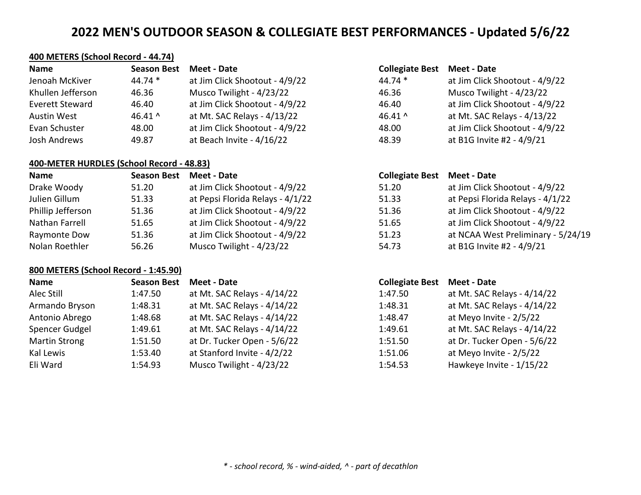## **400 METERS (School Record - 44.74)**

| <b>Name</b>       | <b>Season Best</b> | Meet - Date                    | <b>Collegiate Best</b> | <b>Meet - Date</b>             |
|-------------------|--------------------|--------------------------------|------------------------|--------------------------------|
| Jenoah McKiver    | $44.74*$           | at Jim Click Shootout - 4/9/22 | $44.74*$               | at Jim Click Shootout - 4/9/22 |
| Khullen Jefferson | 46.36              | Musco Twilight - 4/23/22       | 46.36                  | Musco Twilight - 4/23/22       |
| Everett Steward   | 46.40              | at Jim Click Shootout - 4/9/22 | 46.40                  | at Jim Click Shootout - 4/9/22 |
| Austin West       | 46.41 $^{\circ}$   | at Mt. SAC Relays - 4/13/22    | 46.41 $^{\circ}$       | at Mt. SAC Relays - 4/13/22    |
| Evan Schuster     | 48.00              | at Jim Click Shootout - 4/9/22 | 48.00                  | at Jim Click Shootout - 4/9/22 |
| Josh Andrews      | 49.87              | at Beach Invite - 4/16/22      | 48.39                  | at B1G Invite #2 - 4/9/21      |

## **400-METER HURDLES (School Record - 48.83)**

| Name              | <b>Season Best</b> | Meet - Date                      | <b>Collegiate Best</b> | Meet - Date                        |
|-------------------|--------------------|----------------------------------|------------------------|------------------------------------|
| Drake Woody       | 51.20              | at Jim Click Shootout - 4/9/22   | 51.20                  | at Jim Click Shootout - 4/9/22     |
| Julien Gillum     | 51.33              | at Pepsi Florida Relays - 4/1/22 | 51.33                  | at Pepsi Florida Relays - 4/1/22   |
| Phillip Jefferson | 51.36              | at Jim Click Shootout - 4/9/22   | 51.36                  | at Jim Click Shootout - 4/9/22     |
| Nathan Farrell    | 51.65              | at Jim Click Shootout - 4/9/22   | 51.65                  | at Jim Click Shootout - 4/9/22     |
| Raymonte Dow      | 51.36              | at Jim Click Shootout - 4/9/22   | 51.23                  | at NCAA West Preliminary - 5/24/19 |
| Nolan Roethler    | 56.26              | Musco Twilight - 4/23/22         | 54.73                  | at B1G Invite #2 - 4/9/21          |

### **800 METERS (School Record - 1:45.90)**

| <b>Name</b>    | <b>Season Best</b> | Meet - Date                 | <b>Collegiate Best</b> | <b>Meet - Date</b>          |
|----------------|--------------------|-----------------------------|------------------------|-----------------------------|
| Alec Still     | 1:47.50            | at Mt. SAC Relays - 4/14/22 | 1:47.50                | at Mt. SAC Relays - 4/14/22 |
| Armando Bryson | 1:48.31            | at Mt. SAC Relays - 4/14/22 | 1:48.31                | at Mt. SAC Relays - 4/14/22 |
| Antonio Abrego | 1:48.68            | at Mt. SAC Relays - 4/14/22 | 1:48.47                | at Meyo Invite - 2/5/22     |
| Spencer Gudgel | 1:49.61            | at Mt. SAC Relays - 4/14/22 | 1:49.61                | at Mt. SAC Relays - 4/14/22 |
| Martin Strong  | 1:51.50            | at Dr. Tucker Open - 5/6/22 | 1:51.50                | at Dr. Tucker Open - 5/6/22 |
| Kal Lewis      | 1:53.40            | at Stanford Invite - 4/2/22 | 1:51.06                | at Meyo Invite - 2/5/22     |
| Eli Ward       | 1:54.93            | Musco Twilight - 4/23/22    | 1:54.53                | Hawkeye Invite - 1/15/22    |

#### **Name Season Best Meet - Date Collegiate Best Meet - Date**

| 44.74 * | at Jim Click Shootout - 4/9/22 |
|---------|--------------------------------|
| 46.36   | Musco Twilight - 4/23/22       |
| 46.40   | at Jim Click Shootout - 4/9/22 |
| 46.41 ^ | at Mt. SAC Relays - 4/13/22    |
| 48.00   | at Jim Click Shootout - 4/9/22 |
| 48.39   | at B1G Invite #2 - 4/9/21      |
|         |                                |

| <b>Collegiate Best Meet - Date</b> |                                    |
|------------------------------------|------------------------------------|
| 51.20                              | at Jim Click Shootout - 4/9/22     |
| 51.33                              | at Pepsi Florida Relays - 4/1/22   |
| 51.36                              | at Jim Click Shootout - 4/9/22     |
| 51.65                              | at Jim Click Shootout - 4/9/22     |
| 51.23                              | at NCAA West Preliminary - 5/24/19 |
| 54.73                              | at B1G Invite #2 - 4/9/21          |

## **Name Season Best Meet - Date Collegiate Best Meet - Date**

| 1:47.50 | at Mt. SAC Relays - 4/14/22 |
|---------|-----------------------------|
| 1:48.31 | at Mt. SAC Relays - 4/14/22 |
| 1:48.47 | at Meyo Invite - 2/5/22     |
| 1:49.61 | at Mt. SAC Relays - 4/14/22 |
| 1:51.50 | at Dr. Tucker Open - 5/6/22 |
| 1:51.06 | at Meyo Invite - 2/5/22     |
| 1:54.53 | Hawkeye Invite - 1/15/22    |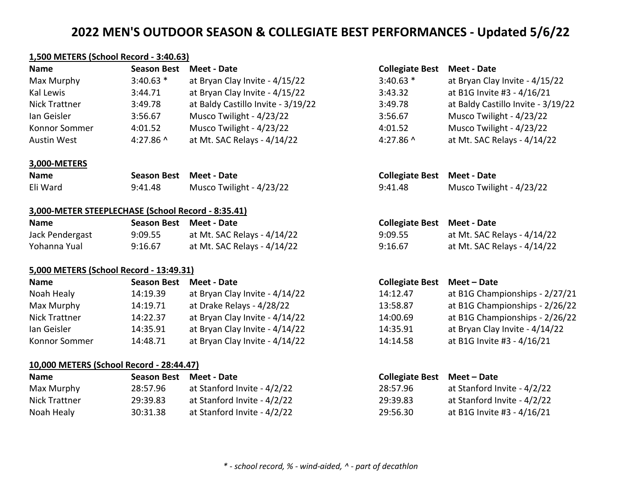### **1,500 METERS (School Record - 3:40.63)**

| Name          | <b>Season Best</b> | Meet - Date                        | <b>Collegiate Best</b> | Meet - Date                        |
|---------------|--------------------|------------------------------------|------------------------|------------------------------------|
| Max Murphy    | $3:40.63$ *        | at Bryan Clay Invite - 4/15/22     | $3:40.63$ *            | at Bryan Clay Invite - 4/15/22     |
| Kal Lewis     | 3:44.71            | at Bryan Clay Invite - 4/15/22     | 3:43.32                | at B1G Invite #3 - 4/16/21         |
| Nick Trattner | 3:49.78            | at Baldy Castillo Invite - 3/19/22 | 3:49.78                | at Baldy Castillo Invite - 3/19/22 |
| lan Geisler   | 3:56.67            | Musco Twilight - 4/23/22           | 3:56.67                | Musco Twilight - 4/23/22           |
| Konnor Sommer | 4:01.52            | Musco Twilight - 4/23/22           | 4:01.52                | Musco Twilight - 4/23/22           |
| Austin West   | 4:27.86 $^{\circ}$ | at Mt. SAC Relays - 4/14/22        | 4:27.86 $^{\circ}$     | at Mt. SAC Relays - 4/14/22        |

#### **3,000-METERS**

| <b>Name</b> | Season Best Meet - Date |                          | <b>Collegiate Best Meet - Date</b> |                          |
|-------------|-------------------------|--------------------------|------------------------------------|--------------------------|
| Eli Ward    | 9:41.48                 | Musco Twilight - 4/23/22 | 9:41.48                            | Musco Twilight - 4/23/22 |

#### **3,000-METER STEEPLECHASE (School Record - 8:35.41)**

| <b>Name</b>     |         | Season Best Meet - Date     | <b>Collegiate Best Meet - Date</b> |                             |
|-----------------|---------|-----------------------------|------------------------------------|-----------------------------|
| Jack Pendergast | 9:09.55 | at Mt. SAC Relays - 4/14/22 | 9:09.55                            | at Mt. SAC Relays - 4/14/22 |
| Yohanna Yual    | 9:16.67 | at Mt. SAC Relays - 4/14/22 | 9:16.67                            | at Mt. SAC Relays - 4/14/22 |

### **5,000 METERS (School Record - 13:49.31)**

| Name          | <b>Season Best</b> | Meet - Date                    | <b>Collegiate Best</b> | Meet – Date                    |
|---------------|--------------------|--------------------------------|------------------------|--------------------------------|
| Noah Healy    | 14:19.39           | at Bryan Clay Invite - 4/14/22 | 14:12.47               | at B1G Championships - 2/27/21 |
| Max Murphy    | 14:19.71           | at Drake Relays - 4/28/22      | 13:58.87               | at B1G Championships - 2/26/22 |
| Nick Trattner | 14:22.37           | at Bryan Clay Invite - 4/14/22 | 14:00.69               | at B1G Championships - 2/26/22 |
| lan Geisler   | 14:35.91           | at Bryan Clay Invite - 4/14/22 | 14:35.91               | at Bryan Clay Invite - 4/14/22 |
| Konnor Sommer | 14:48.71           | at Bryan Clay Invite - 4/14/22 | 14:14.58               | at B1G Invite #3 - 4/16/21     |

### **10,000 METERS (School Record - 28:44.47)**

| <b>Name</b>   | Season Best Meet - Date |                             | Collegiate Best Meet – Date |                             |
|---------------|-------------------------|-----------------------------|-----------------------------|-----------------------------|
| Max Murphy    | 28:57.96                | at Stanford Invite - 4/2/22 | 28:57.96                    | at Stanford Invite - 4/2/22 |
| Nick Trattner | 29:39.83                | at Stanford Invite - 4/2/22 | 29:39.83                    | at Stanford Invite - 4/2/22 |
| Noah Healy    | 30:31.38                | at Stanford Invite - 4/2/22 | 29:56.30                    | at B1G Invite #3 - 4/16/21  |

| Collegiate Best Meet - Date |  |  |  |
|-----------------------------|--|--|--|
|-----------------------------|--|--|--|

| $3:40.63*$ | at Bryan Clay Invite - 4/15/22     |
|------------|------------------------------------|
| 3:43.32    | at B1G Invite #3 - 4/16/21         |
| 3:49.78    | at Baldy Castillo Invite - 3/19/22 |
| 3:56.67    | Musco Twilight - 4/23/22           |
| 4:01.52    | Musco Twilight - 4/23/22           |
| 4:27.86 ^  | at Mt. SAC Relays - 4/14/22        |

| <b>Collegiate Best Meet - Date</b> |                             |
|------------------------------------|-----------------------------|
| 9:09.55                            | at Mt. SAC Relays - 4/14/22 |
| 9:16.67                            | at Mt. SAC Relays - 4/14/22 |

## **Name Season Best Meet - Date Collegiate Best Meet – Date**

| 14:12.47 | at B1G Championships - 2/27/21 |
|----------|--------------------------------|
| 13:58.87 | at B1G Championships - 2/26/22 |
| 14:00.69 | at B1G Championships - 2/26/22 |
| 14:35.91 | at Bryan Clay Invite - 4/14/22 |
| 14:14.58 | at B1G Invite #3 - 4/16/21     |

| Collegiate Best Meet - Date |                             |
|-----------------------------|-----------------------------|
| 28:57.96                    | at Stanford Invite - 4/2/22 |
| 29:39.83                    | at Stanford Invite - 4/2/22 |
| 29:56.30                    | at B1G Invite #3 - 4/16/21  |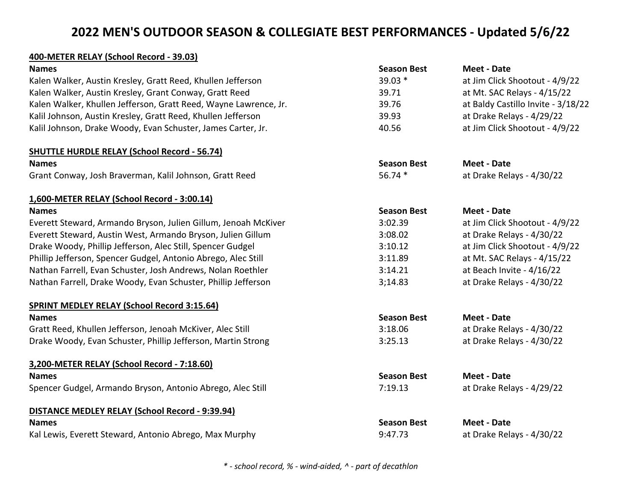## **400-METER RELAY (School Record - 39.03)**

| <b>Names</b>                                                     | <b>Season Best</b> | <b>Meet - Date</b>                 |
|------------------------------------------------------------------|--------------------|------------------------------------|
| Kalen Walker, Austin Kresley, Gratt Reed, Khullen Jefferson      | 39.03 *            | at Jim Click Shootout - 4/9/22     |
| Kalen Walker, Austin Kresley, Grant Conway, Gratt Reed           | 39.71              | at Mt. SAC Relays - 4/15/22        |
| Kalen Walker, Khullen Jefferson, Gratt Reed, Wayne Lawrence, Jr. | 39.76              | at Baldy Castillo Invite - 3/18/22 |
| Kalil Johnson, Austin Kresley, Gratt Reed, Khullen Jefferson     | 39.93              | at Drake Relays - 4/29/22          |
| Kalil Johnson, Drake Woody, Evan Schuster, James Carter, Jr.     | 40.56              | at Jim Click Shootout - 4/9/22     |
| <b>SHUTTLE HURDLE RELAY (School Record - 56.74)</b>              |                    |                                    |
| <b>Names</b>                                                     | <b>Season Best</b> | <b>Meet - Date</b>                 |
| Grant Conway, Josh Braverman, Kalil Johnson, Gratt Reed          | 56.74 *            | at Drake Relays - 4/30/22          |
| 1,600-METER RELAY (School Record - 3:00.14)                      |                    |                                    |
| <b>Names</b>                                                     | <b>Season Best</b> | <b>Meet - Date</b>                 |
| Everett Steward, Armando Bryson, Julien Gillum, Jenoah McKiver   | 3:02.39            | at Jim Click Shootout - 4/9/22     |
| Everett Steward, Austin West, Armando Bryson, Julien Gillum      | 3:08.02            | at Drake Relays - 4/30/22          |
| Drake Woody, Phillip Jefferson, Alec Still, Spencer Gudgel       | 3:10.12            | at Jim Click Shootout - 4/9/22     |
| Phillip Jefferson, Spencer Gudgel, Antonio Abrego, Alec Still    | 3:11.89            | at Mt. SAC Relays - 4/15/22        |
| Nathan Farrell, Evan Schuster, Josh Andrews, Nolan Roethler      | 3:14.21            | at Beach Invite - 4/16/22          |
| Nathan Farrell, Drake Woody, Evan Schuster, Phillip Jefferson    | 3;14.83            | at Drake Relays - 4/30/22          |
| <b>SPRINT MEDLEY RELAY (School Record 3:15.64)</b>               |                    |                                    |
| <b>Names</b>                                                     | <b>Season Best</b> | <b>Meet - Date</b>                 |
| Gratt Reed, Khullen Jefferson, Jenoah McKiver, Alec Still        | 3:18.06            | at Drake Relays - 4/30/22          |
| Drake Woody, Evan Schuster, Phillip Jefferson, Martin Strong     | 3:25.13            | at Drake Relays - 4/30/22          |
| 3,200-METER RELAY (School Record - 7:18.60)                      |                    |                                    |
| <b>Names</b>                                                     | <b>Season Best</b> | <b>Meet - Date</b>                 |
| Spencer Gudgel, Armando Bryson, Antonio Abrego, Alec Still       | 7:19.13            | at Drake Relays - 4/29/22          |
| DISTANCE MEDLEY RELAY (School Record - 9:39.94)                  |                    |                                    |
| <b>Names</b>                                                     | <b>Season Best</b> | <b>Meet - Date</b>                 |
| Kal Lewis, Everett Steward, Antonio Abrego, Max Murphy           | 9:47.73            | at Drake Relays - 4/30/22          |

*\* - school record, % - wind-aided, ^ - part of decathlon*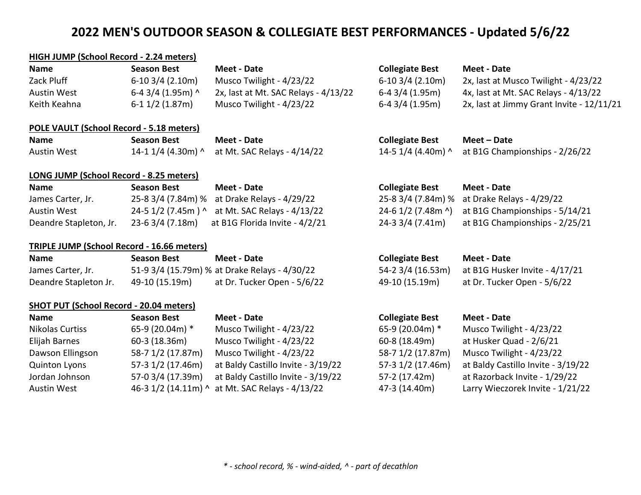## **HIGH JUMP (School Record - 2.24 meters)**

| <b>Name</b>  | Season Best        | Meet - Date                               | <b>Collegiate Best</b> | Meet - Date                               |
|--------------|--------------------|-------------------------------------------|------------------------|-------------------------------------------|
| Zack Pluff   | $6-10$ 3/4 (2.10m) | Musco Twilight - 4/23/22                  | $6-10$ 3/4 (2.10m)     | 2x, last at Musco Twilight - 4/23/22      |
| Austin West  | 6-4 3/4 (1.95m) ^  | $2x$ , last at Mt. SAC Relays - $4/13/22$ | 6-4 3/4 (1.95m)        | 4x, last at Mt. SAC Relays - 4/13/22      |
| Keith Keahna | 6-1 1/2 (1.87m)    | Musco Twilight - 4/23/22                  | $6-4$ 3/4 (1.95m)      | 2x, last at Jimmy Grant Invite - 12/11/21 |

**Name Season Best Meet - Date Collegiate Best Meet – Date**

14-5 1/4 (4.40m) ^ at B1G Championships - 2/26/22

#### **POLE VAULT (School Record - 5.18 meters)**

| <b>Name</b> | Season Best | Meet - Date                                        |
|-------------|-------------|----------------------------------------------------|
| Austin West |             | 14-1 $1/4$ (4.30m) ^ at Mt. SAC Relays - $4/14/22$ |

#### **LONG JUMP (School Record - 8.25 meters)**

| <b>Name</b>            | Season Best        | Meet - Date                                    | <b>Collegiate Best</b> | Meet - Date                                       |
|------------------------|--------------------|------------------------------------------------|------------------------|---------------------------------------------------|
| James Carter, Jr.      |                    | 25-8 3/4 (7.84m) % at Drake Relays - 4/29/22   |                        | 25-8 3/4 (7.84m) % at Drake Relays - 4/29/22      |
| Austin West            |                    | 24-5 1/2 (7.45m) ^ at Mt. SAC Relays - 4/13/22 |                        | 24-6 1/2 (7.48m ^) at B1G Championships - 5/14/21 |
| Deandre Stapleton, Jr. | $23-6$ 3/4 (7.18m) | at B1G Florida Invite - 4/2/21                 | 24-3 3/4 (7.41m)       | at B1G Championships - 2/25/21                    |

### **TRIPLE JUMP (School Record - 16.66 meters)**

| Name                  | <b>Season Best</b> | Meet - Date                                   | <b>Collegiate Best</b> | Meet - Date                    |
|-----------------------|--------------------|-----------------------------------------------|------------------------|--------------------------------|
| James Carter, Jr.     |                    | 51-9 3/4 (15.79m) % at Drake Relays - 4/30/22 | 54-2 3/4 (16.53m)      | at B1G Husker Invite - 4/17/21 |
| Deandre Stapleton Jr. | 49-10 (15.19m)     | at Dr. Tucker Open - 5/6/22                   | 49-10 (15.19m)         | at Dr. Tucker Open - 5/6/22    |
|                       |                    |                                               |                        |                                |

### **SHOT PUT (School Record - 20.04 meters)**

| <b>Name</b>          | <b>Season Best</b> | Meet - Date                                     | <b>Collegiate Best</b> | <b>Meet - Date</b>                 |
|----------------------|--------------------|-------------------------------------------------|------------------------|------------------------------------|
| Nikolas Curtiss      | 65-9 (20.04m) *    | Musco Twilight - 4/23/22                        | 65-9 (20.04m) *        | Musco Twilight - 4/23/22           |
| Elijah Barnes        | 60-3 (18.36m)      | Musco Twilight - 4/23/22                        | 60-8 (18.49m)          | at Husker Quad - 2/6/21            |
| Dawson Ellingson     | 58-7 1/2 (17.87m)  | Musco Twilight - 4/23/22                        | 58-7 1/2 (17.87m)      | Musco Twilight - 4/23/22           |
| <b>Quinton Lyons</b> | 57-3 1/2 (17.46m)  | at Baldy Castillo Invite - 3/19/22              | 57-3 1/2 (17.46m)      | at Baldy Castillo Invite - 3/19/22 |
| Jordan Johnson       | 57-0 3/4 (17.39m)  | at Baldy Castillo Invite - 3/19/22              | 57-2 (17.42m)          | at Razorback Invite - 1/29/22      |
| <b>Austin West</b>   |                    | 46-3 1/2 (14.11m) ^ at Mt. SAC Relays - 4/13/22 | 47-3 (14.40m)          | Larry Wieczorek Invite - 1/21/22   |